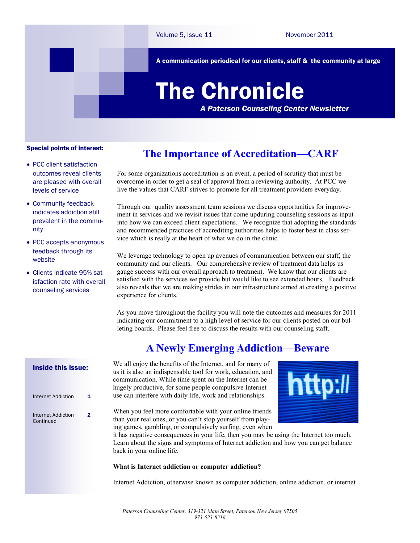A communication periodical for our clients, staff & the community at large

# The Chronicle

*A Paterson Counseling Center Newsletter*

#### Special points of interest:

- PCC client satisfaction outcomes reveal clients are pleased with overall levels of service
- Community feedback indicates addiction still prevalent in the community
- PCC accepts anonymous feedback through its website
- Clients indicate 95% satisfaction rate with overall counseling services

## **The Importance of Accreditation—CARF**

For some organizations accreditation is an event, a period of scrutiny that must be overcome in order to get a seal of approval from a reviewing authority. At PCC we live the values that CARF strives to promote for all treatment providers everyday.

Through our quality assessment team sessions we discuss opportunities for improvement in services and we revisit issues that come upduring counseling sessions as input into how we can exceed client expectations. We recognize that adopting the standards and recommended practices of accrediting authorities helps to foster best in class service which is really at the heart of what we do in the clinic.

We leverage technology to open up avenues of communication between our staff, the community and our clients. Our comprehensive review of treatment data helps us gauge success with our overall approach to treatment. We know that our clients are satisfied with the services we provide but would like to see extended hours. Feedback also reveals that we are making strides in our infrastructure aimed at creating a positive experience for clients.

As you move throughout the facility you will note the outcomes and measures for 2011 indicating our commitment to a high level of service for our clients posted on our bulleting boards. Please feel free to discuss the results with our counseling staff.

### **A Newly Emerging Addiction—Beware**

We all enjoy the benefits of the Internet, and for many of us it is also an indispensable tool for work, education, and communication. While time spent on the Internet can be hugely productive, for some people compulsive Internet use can interfere with daily life, work and relationships.

When you feel more comfortable with your online friends than your real ones, or you can't stop yourself from playing games, gambling, or compulsively surfing, even when



it has negative consequences in your life, then you may be using the Internet too much. Learn about the signs and symptoms of Internet addiction and how you can get balance back in your online life.

#### **What is Internet addiction or computer addiction?**

Internet Addiction, otherwise known as computer addiction, online addiction, or internet

#### Inside this issue:

| Internet Addiction              | 1 |
|---------------------------------|---|
| Internet Addiction<br>Continued | 2 |